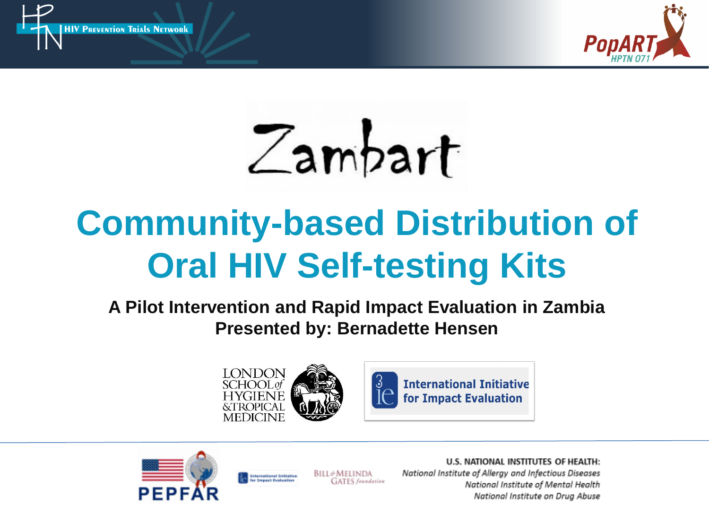



Zambart

# **Community-based Distribution of Oral HIV Self-testing Kits**

**A Pilot Intervention and Rapid Impact Evaluation in Zambia Presented by: Bernadette Hensen**







**International Initiative Depart Evaluation** 

U.S. NATIONAL INSTITUTES OF HEALTH: National Institute of Alleray and Infectious Diseases National Institute of Mental Health National Institute on Drug Abuse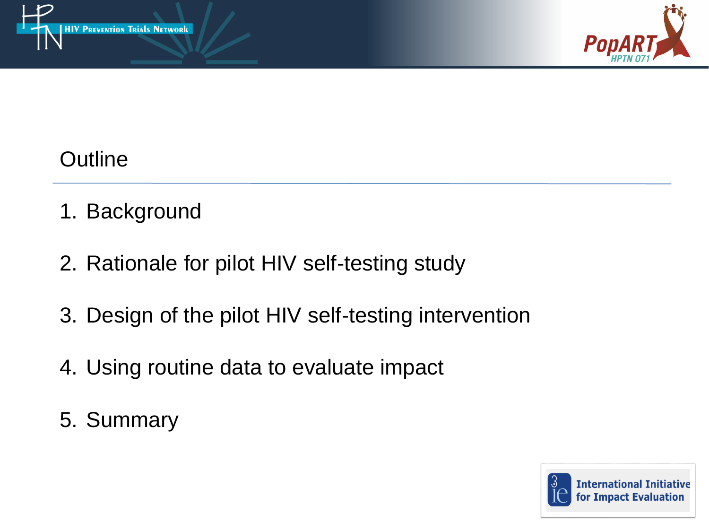



#### **Outline**

- 1. Background
- 2. Rationale for pilot HIV self-testing study
- 3. Design of the pilot HIV self-testing intervention
- 4. Using routine data to evaluate impact
- 5. Summary

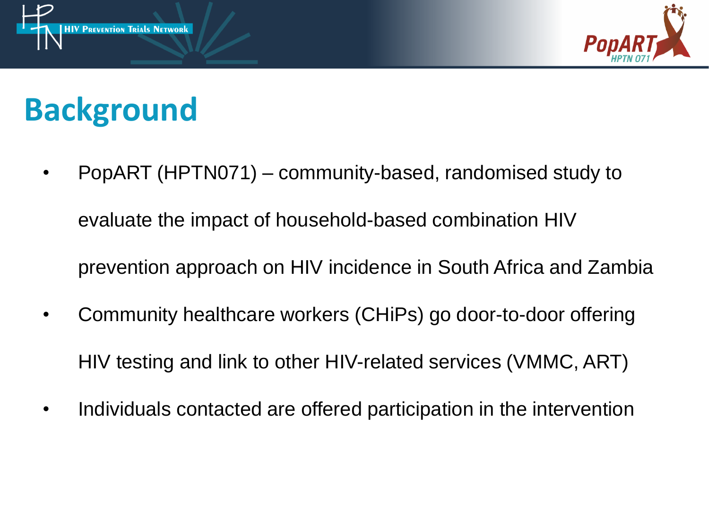



## **Background**

- PopART (HPTN071) community-based, randomised study to evaluate the impact of household-based combination HIV prevention approach on HIV incidence in South Africa and Zambia
- Community healthcare workers (CHiPs) go door-to-door offering HIV testing and link to other HIV-related services (VMMC, ART)
- Individuals contacted are offered participation in the intervention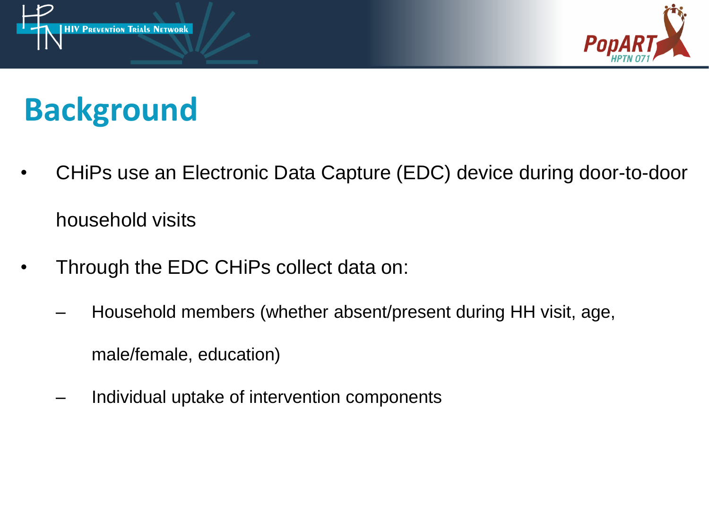



## **Background**

- CHiPs use an Electronic Data Capture (EDC) device during door-to-door household visits
- Through the EDC CHiPs collect data on:
	- Household members (whether absent/present during HH visit, age,

male/female, education)

– Individual uptake of intervention components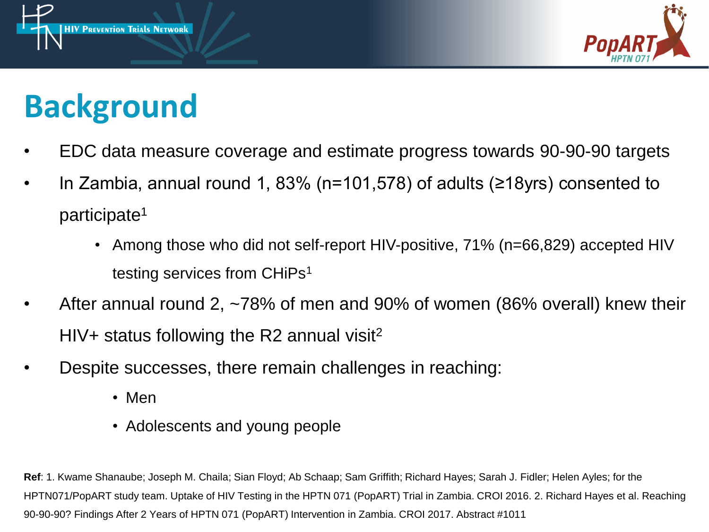



## **Background**

- EDC data measure coverage and estimate progress towards 90-90-90 targets
- In Zambia, annual round 1, 83% (n=101,578) of adults ( $\geq$ 18yrs) consented to participate<sup>1</sup>
	- Among those who did not self-report HIV-positive, 71% (n=66,829) accepted HIV testing services from CHiPs<sup>1</sup>
- After annual round 2, ~78% of men and 90% of women (86% overall) knew their HIV+ status following the R2 annual visit<sup>2</sup>
- Despite successes, there remain challenges in reaching:
	- Men
	- Adolescents and young people

**Ref**: 1. Kwame Shanaube; Joseph M. Chaila; Sian Floyd; Ab Schaap; Sam Griffith; Richard Hayes; Sarah J. Fidler; Helen Ayles; for the HPTN071/PopART study team. Uptake of HIV Testing in the HPTN 071 (PopART) Trial in Zambia. CROI 2016. 2. Richard Hayes et al. Reaching 90-90-90? Findings After 2 Years of HPTN 071 (PopART) Intervention in Zambia. CROI 2017. Abstract #1011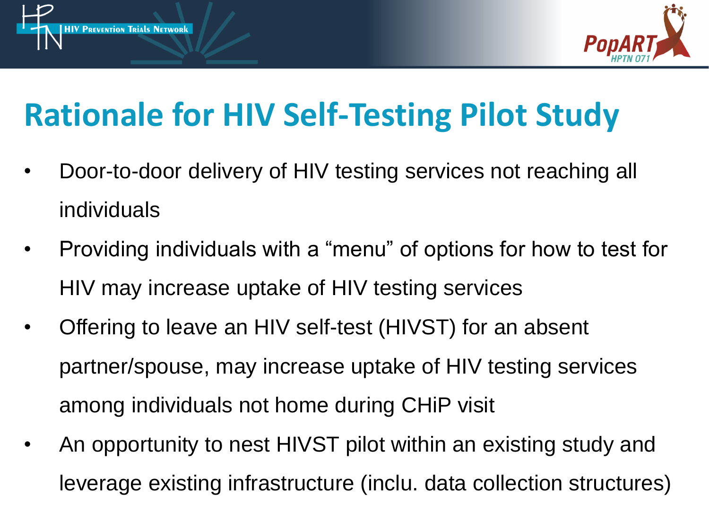



## **Rationale for HIV Self-Testing Pilot Study**

- Door-to-door delivery of HIV testing services not reaching all individuals
- Providing individuals with a "menu" of options for how to test for HIV may increase uptake of HIV testing services
- Offering to leave an HIV self-test (HIVST) for an absent partner/spouse, may increase uptake of HIV testing services among individuals not home during CHiP visit
- An opportunity to nest HIVST pilot within an existing study and leverage existing infrastructure (inclu. data collection structures)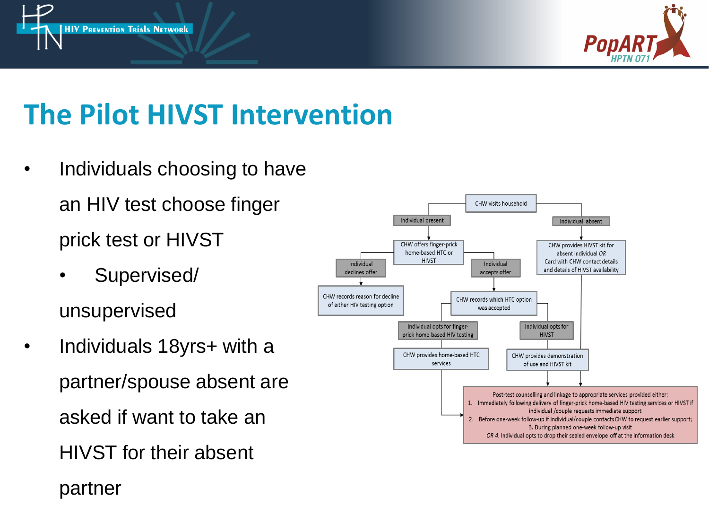



#### **The Pilot HIVST Intervention**

- Individuals choosing to have an HIV test choose finger prick test or HIVST
	- Supervised/

unsupervised

• Individuals 18yrs+ with a partner/spouse absent are asked if want to take an HIVST for their absent

Individual present Individual absent CHW offers finger-prick CHW provides HIVST kit for home-based HTC or absent individual OR **HIVST** Card with CHW contact details Individual Individual and details of HIVST availability declines offer accepts offer CHW records reason for decline CHW records which HTC option of either HIV testing option was accepted Individual opts for finger-Individual opts for prick home-based HIV testing **HIVST** CHW provides home-based HTC CHW provides demonstration services of use and HIVST kit Post-test counselling and linkage to appropriate services provided either: 1. Immediately following delivery of finger-prick home-based HIV testing services or HIVST if individual /couple requests immediate support 2. Before one-week follow-up if individual/couple contacts CHW to request earlier support; 3. During planned one-week follow-up visit OR 4. Individual opts to drop their sealed envelope off at the information desk

CHW visits household

partner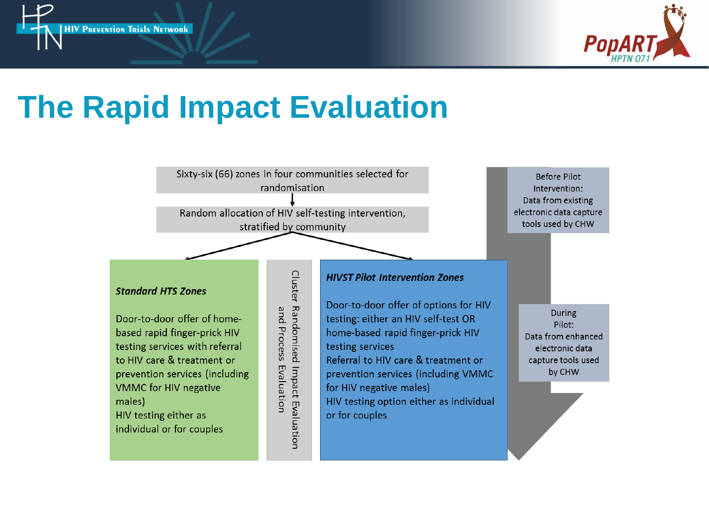



### **The Rapid Impact Evaluation**

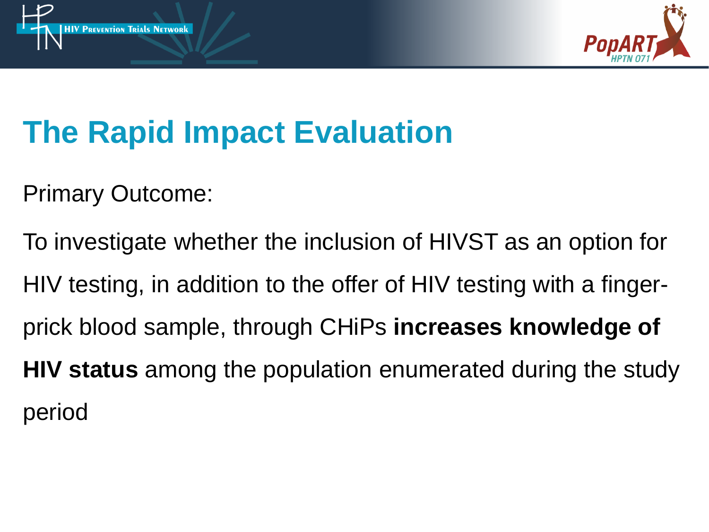



## **The Rapid Impact Evaluation**

Primary Outcome:

To investigate whether the inclusion of HIVST as an option for HIV testing, in addition to the offer of HIV testing with a fingerprick blood sample, through CHiPs **increases knowledge of HIV status** among the population enumerated during the study period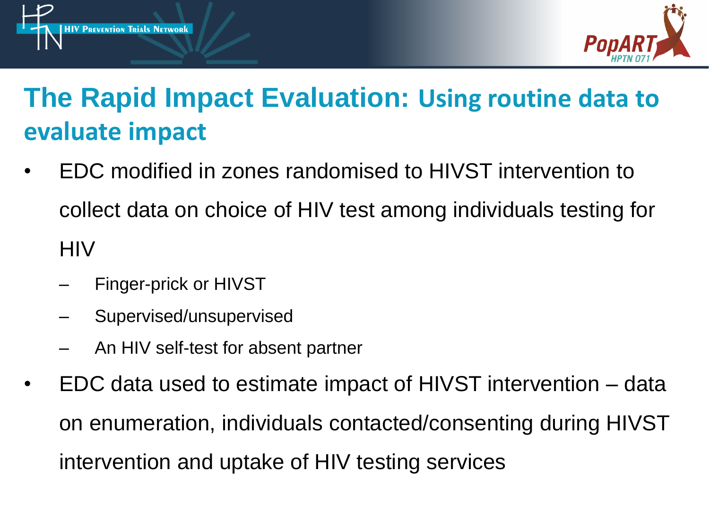



#### **The Rapid Impact Evaluation: Using routine data to evaluate impact**

- EDC modified in zones randomised to HIVST intervention to collect data on choice of HIV test among individuals testing for **HIV** 
	- Finger-prick or HIVST
	- Supervised/unsupervised
	- An HIV self-test for absent partner
- EDC data used to estimate impact of HIVST intervention data on enumeration, individuals contacted/consenting during HIVST intervention and uptake of HIV testing services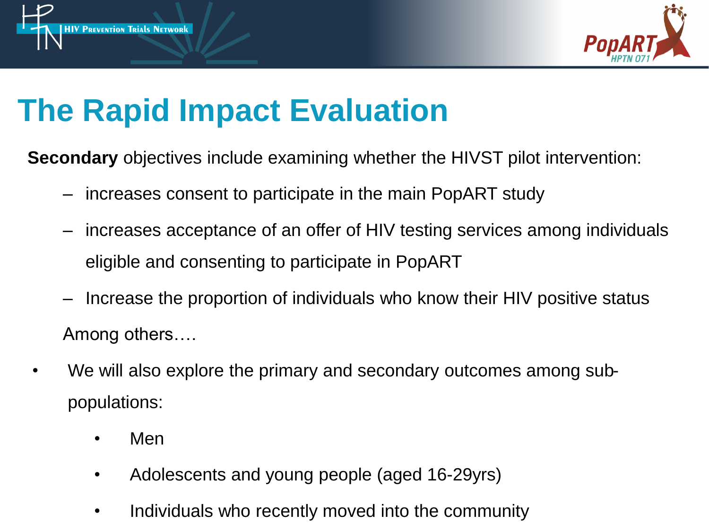



### **The Rapid Impact Evaluation**

**Secondary** objectives include examining whether the HIVST pilot intervention:

- increases consent to participate in the main PopART study
- increases acceptance of an offer of HIV testing services among individuals eligible and consenting to participate in PopART
- Increase the proportion of individuals who know their HIV positive status Among others….
- We will also explore the primary and secondary outcomes among subpopulations:
	- Men
	- Adolescents and young people (aged 16-29yrs)
	- Individuals who recently moved into the community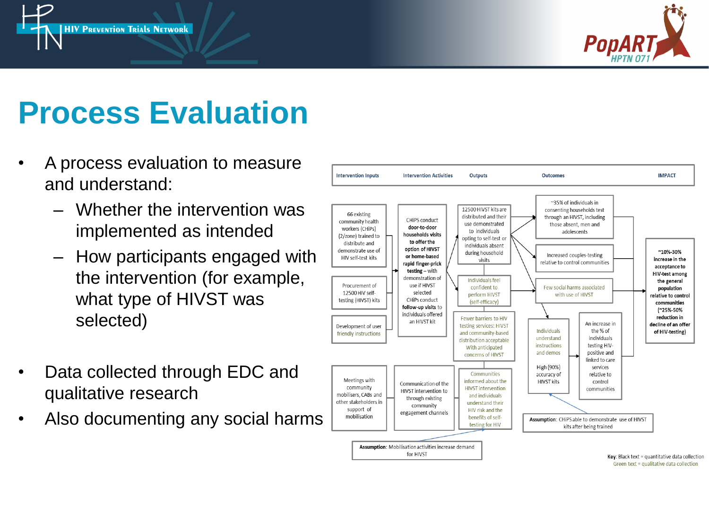



### **Process Evaluation**

- A process evaluation to measure and understand:
	- Whether the intervention was implemented as intended
	- How participants engaged with the intervention (for example, what type of HIVST was selected)
- Data collected through EDC and qualitative research
- Also documenting any social harms

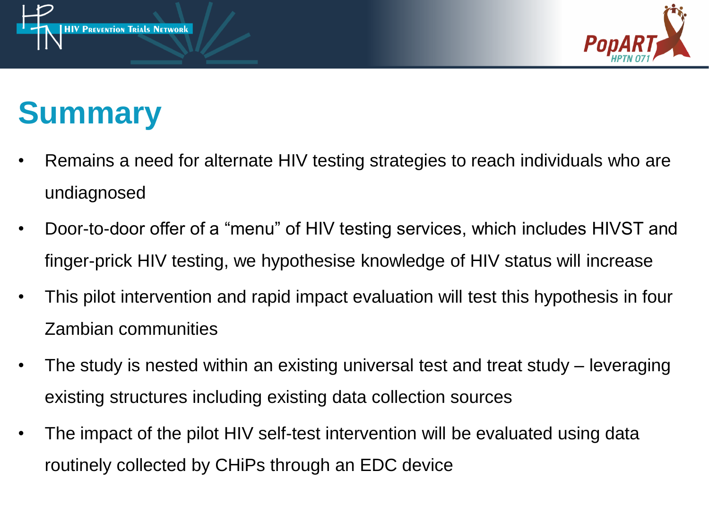



### **Summary**

- Remains a need for alternate HIV testing strategies to reach individuals who are undiagnosed
- Door-to-door offer of a "menu" of HIV testing services, which includes HIVST and finger-prick HIV testing, we hypothesise knowledge of HIV status will increase
- This pilot intervention and rapid impact evaluation will test this hypothesis in four Zambian communities
- The study is nested within an existing universal test and treat study leveraging existing structures including existing data collection sources
- The impact of the pilot HIV self-test intervention will be evaluated using data routinely collected by CHiPs through an EDC device